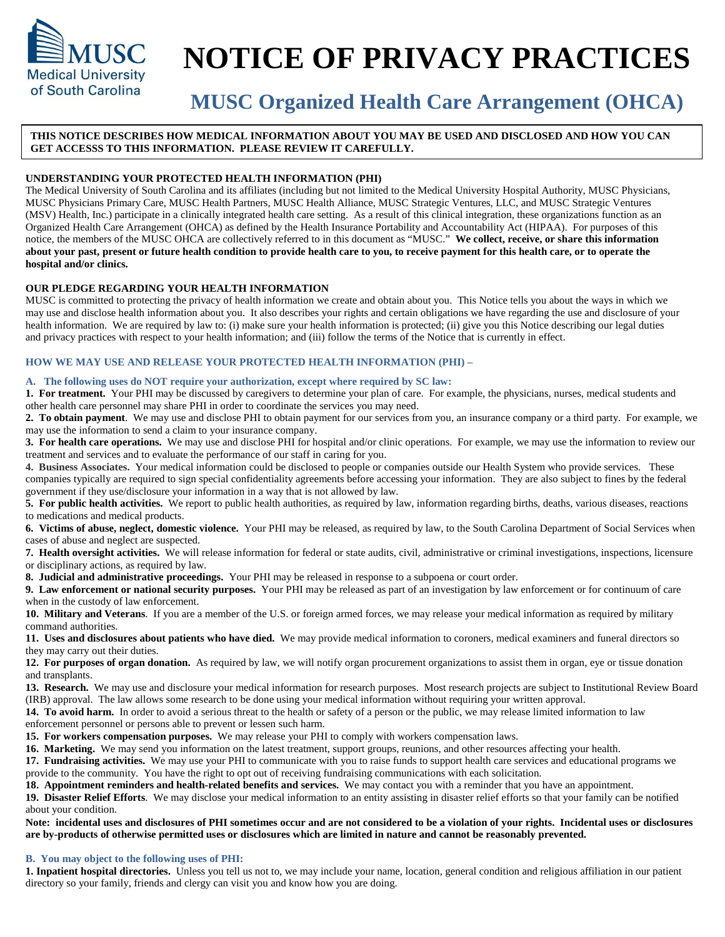

# **NOTICE OF PRIVACY PRACTICES**

# **MUSC Organized Health Care Arrangement (OHCA)**

# **THIS NOTICE DESCRIBES HOW MEDICAL INFORMATION ABOUT YOU MAY BE USED AND DISCLOSED AND HOW YOU CAN GET ACCESSS TO THIS INFORMATION. PLEASE REVIEW IT CAREFULLY.**

# **UNDERSTANDING YOUR PROTECTED HEALTH INFORMATION (PHI)**

The Medical University of South Carolina and its affiliates (including but not limited to the Medical University Hospital Authority, MUSC Physicians, MUSC Physicians Primary Care, MUSC Health Partners, MUSC Health Alliance, MUSC Strategic Ventures, LLC, and MUSC Strategic Ventures (MSV) Health, Inc.) participate in a clinically integrated health care setting. As a result of this clinical integration, these organizations function as an Organized Health Care Arrangement (OHCA) as defined by the Health Insurance Portability and Accountability Act (HIPAA). For purposes of this notice, the members of the MUSC OHCA are collectively referred to in this document as "MUSC." **We collect, receive, or share this information about your past, present or future health condition to provide health care to you, to receive payment for this health care, or to operate the hospital and/or clinics.**

# **OUR PLEDGE REGARDING YOUR HEALTH INFORMATION**

MUSC is committed to protecting the privacy of health information we create and obtain about you. This Notice tells you about the ways in which we may use and disclose health information about you. It also describes your rights and certain obligations we have regarding the use and disclosure of your health information. We are required by law to: (i) make sure your health information is protected; (ii) give you this Notice describing our legal duties and privacy practices with respect to your health information; and (iii) follow the terms of the Notice that is currently in effect.

# **HOW WE MAY USE AND RELEASE YOUR PROTECTED HEALTH INFORMATION (PHI) –**

# **A. The following uses do NOT require your authorization, except where required by SC law:**

**1. For treatment.** Your PHI may be discussed by caregivers to determine your plan of care. For example, the physicians, nurses, medical students and other health care personnel may share PHI in order to coordinate the services you may need.

**2. To obtain payment**. We may use and disclose PHI to obtain payment for our services from you, an insurance company or a third party. For example, we may use the information to send a claim to your insurance company.

**3. For health care operations.** We may use and disclose PHI for hospital and/or clinic operations. For example, we may use the information to review our treatment and services and to evaluate the performance of our staff in caring for you.

**4. Business Associates.** Your medical information could be disclosed to people or companies outside our Health System who provide services. These companies typically are required to sign special confidentiality agreements before accessing your information. They are also subject to fines by the federal government if they use/disclosure your information in a way that is not allowed by law.

**5. For public health activities.** We report to public health authorities, as required by law, information regarding births, deaths, various diseases, reactions to medications and medical products.

**6. Victims of abuse, neglect, domestic violence.** Your PHI may be released, as required by law, to the South Carolina Department of Social Services when cases of abuse and neglect are suspected.

**7. Health oversight activities.** We will release information for federal or state audits, civil, administrative or criminal investigations, inspections, licensure or disciplinary actions, as required by law.

**8. Judicial and administrative proceedings.** Your PHI may be released in response to a subpoena or court order.

**9. Law enforcement or national security purposes.** Your PHI may be released as part of an investigation by law enforcement or for continuum of care when in the custody of law enforcement.

**10. Military and Veterans**. If you are a member of the U.S. or foreign armed forces, we may release your medical information as required by military command authorities.

**11. Uses and disclosures about patients who have died.** We may provide medical information to coroners, medical examiners and funeral directors so they may carry out their duties.

**12. For purposes of organ donation.** As required by law, we will notify organ procurement organizations to assist them in organ, eye or tissue donation and transplants.

**13. Research.** We may use and disclosure your medical information for research purposes. Most research projects are subject to Institutional Review Board (IRB) approval. The law allows some research to be done using your medical information without requiring your written approval.

**14. To avoid harm.** In order to avoid a serious threat to the health or safety of a person or the public, we may release limited information to law

enforcement personnel or persons able to prevent or lessen such harm.

**15. For workers compensation purposes.** We may release your PHI to comply with workers compensation laws.

**16. Marketing.** We may send you information on the latest treatment, support groups, reunions, and other resources affecting your health.

**17. Fundraising activities.** We may use your PHI to communicate with you to raise funds to support health care services and educational programs we provide to the community. You have the right to opt out of receiving fundraising communications with each solicitation.

**18. Appointment reminders and health-related benefits and services.** We may contact you with a reminder that you have an appointment.

**19. Disaster Relief Efforts**. We may disclose your medical information to an entity assisting in disaster relief efforts so that your family can be notified about your condition.

**Note: incidental uses and disclosures of PHI sometimes occur and are not considered to be a violation of your rights. Incidental uses or disclosures are by-products of otherwise permitted uses or disclosures which are limited in nature and cannot be reasonably prevented.**

# **B. You may object to the following uses of PHI:**

**1. Inpatient hospital directories.** Unless you tell us not to, we may include your name, location, general condition and religious affiliation in our patient directory so your family, friends and clergy can visit you and know how you are doing.